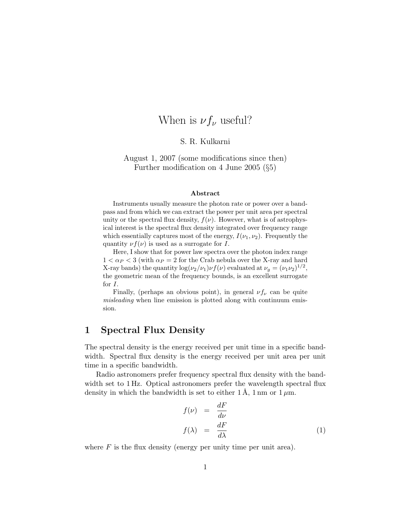# When is  $\nu f_{\nu}$  useful?

S. R. Kulkarni

August 1, 2007 (some modifications since then) Further modification on 4 June 2005 (§5)

#### Abstract

Instruments usually measure the photon rate or power over a bandpass and from which we can extract the power per unit area per spectral unity or the spectral flux density,  $f(\nu)$ . However, what is of astrophysical interest is the spectral flux density integrated over frequency range which essentially captures most of the energy,  $I(\nu_1, \nu_2)$ . Frequently the quantity  $\nu f(\nu)$  is used as a surrogate for I.

Here, I show that for power law spectra over the photon index range  $1 < \alpha_P < 3$  (with  $\alpha_P = 2$  for the Crab nebula over the X-ray and hard X-ray bands) the quantity  $\log(\nu_2/\nu_1)\nu f(\nu)$  evaluated at  $\nu_g = (\nu_1\nu_2)^{1/2}$ , the geometric mean of the frequency bounds, is an excellent surrogate for I.

Finally, (perhaps an obvious point), in general  $\nu f_{\nu}$  can be quite misleading when line emission is plotted along with continuum emission.

## 1 Spectral Flux Density

The spectral density is the energy received per unit time in a specific bandwidth. Spectral flux density is the energy received per unit area per unit time in a specific bandwidth.

Radio astronomers prefer frequency spectral flux density with the bandwidth set to 1 Hz. Optical astronomers prefer the wavelength spectral flux density in which the bandwidth is set to either  $1 \text{ Å}$ ,  $1 \text{ nm}$  or  $1 \mu \text{m}$ .

$$
f(\nu) = \frac{dF}{d\nu}
$$
  

$$
f(\lambda) = \frac{dF}{d\lambda}
$$
 (1)

where  $F$  is the flux density (energy per unity time per unit area).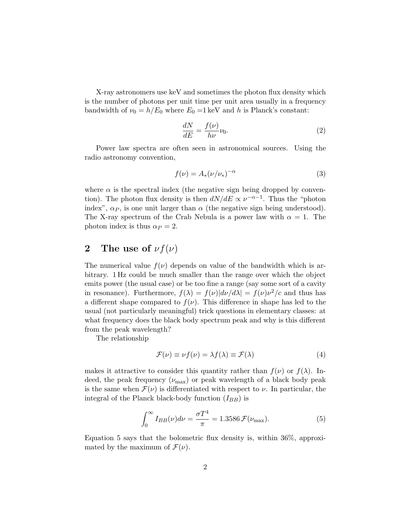X-ray astronomers use keV and sometimes the photon flux density which is the number of photons per unit time per unit area usually in a frequency bandwidth of  $\nu_0 = h/E_0$  where  $E_0 = 1 \text{ keV}$  and h is Planck's constant:

$$
\frac{dN}{dE} = \frac{f(\nu)}{h\nu}\nu_0.
$$
\n(2)

Power law spectra are often seen in astronomical sources. Using the radio astronomy convention,

$$
f(\nu) = A_* (\nu/\nu_*)^{-\alpha} \tag{3}
$$

where  $\alpha$  is the spectral index (the negative sign being dropped by convention). The photon flux density is then  $dN/dE \propto \nu^{-\alpha-1}$ . Thus the "photon index",  $\alpha_P$ , is one unit larger than  $\alpha$  (the negative sign being understood). The X-ray spectrum of the Crab Nebula is a power law with  $\alpha = 1$ . The photon index is thus  $\alpha_P = 2$ .

## 2 The use of  $\nu f(\nu)$

The numerical value  $f(\nu)$  depends on value of the bandwidth which is arbitrary. 1 Hz could be much smaller than the range over which the object emits power (the usual case) or be too fine a range (say some sort of a cavity in resonance). Furthermore,  $f(\lambda) = f(\nu)|d\nu/d\lambda| = f(\nu)\nu^2/c$  and thus has a different shape compared to  $f(\nu)$ . This difference in shape has led to the usual (not particularly meaningful) trick questions in elementary classes: at what frequency does the black body spectrum peak and why is this different from the peak wavelength?

The relationship

$$
\mathcal{F}(\nu) \equiv \nu f(\nu) = \lambda f(\lambda) \equiv \mathcal{F}(\lambda)
$$
 (4)

makes it attractive to consider this quantity rather than  $f(\nu)$  or  $f(\lambda)$ . Indeed, the peak frequency  $(\nu_{\text{max}})$  or peak wavelength of a black body peak is the same when  $\mathcal{F}(\nu)$  is differentiated with respect to  $\nu$ . In particular, the integral of the Planck black-body function  $(I_{BB})$  is

$$
\int_0^\infty I_{BB}(\nu)d\nu = \frac{\sigma T^4}{\pi} = 1.3586 \mathcal{F}(\nu_{\text{max}}). \tag{5}
$$

Equation 5 says that the bolometric flux density is, within 36%, approximated by the maximum of  $\mathcal{F}(\nu)$ .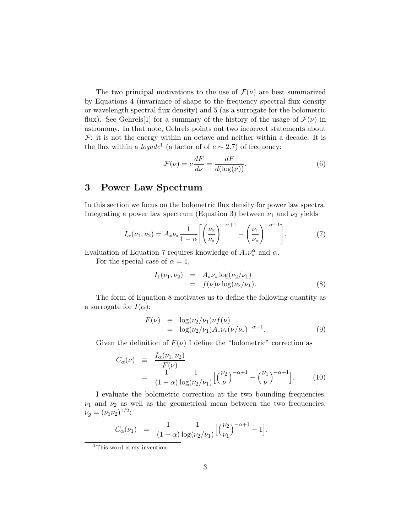The two principal motivations to the use of  $\mathcal{F}(\nu)$  are best summarized by Equations 4 (invariance of shape to the frequency spectral flux density or wavelength spectral flux density) and 5 (as a surrogate for the bolometric flux). See Gehrels [1] for a summary of the history of the usage of  $\mathcal{F}(\nu)$  in astronomy. In that note, Gehrels points out two incorrect statements about  $F:$  it is not the energy within an octave and neither within a decade. It is the flux within a *logade*<sup>1</sup> (a factor of of  $e \sim 2.7$ ) of frequency:

$$
\mathcal{F}(\nu) = \nu \frac{dF}{d\nu} = \frac{dF}{d(\log(\nu))}.
$$
\n(6)

## 3 Power Law Spectrum

In this section we focus on the bolometric flux density for power law spectra. Integrating a power law spectrum (Equation 3) between  $\nu_1$  and  $\nu_2$  yields

$$
I_{\alpha}(\nu_1, \nu_2) = A_* \nu_* \frac{1}{1-\alpha} \left[ \left( \frac{\nu_2}{\nu_*} \right)^{-\alpha+1} - \left( \frac{\nu_1}{\nu_*} \right)^{-\alpha+1} \right]. \tag{7}
$$

Evaluation of Equation 7 requires knowledge of  $A_* \nu_*^{\alpha}$  and  $\alpha$ .

For the special case of  $\alpha = 1$ ,

$$
I_1(\nu_1, \nu_2) = A_* \nu_* \log(\nu_2/\nu_1)
$$
  
=  $f(\nu)\nu \log(\nu_2/\nu_1)$ . (8)

The form of Equation 8 motivates us to define the following quantity as a surrogate for  $I(\alpha)$ :

$$
F(\nu) \equiv \log(\nu_2/\nu_1)\nu f(\nu) = \log(\nu_2/\nu_1)A_*\nu_*(\nu/\nu_*)^{-\alpha+1}.
$$
 (9)

Given the definition of  $F(\nu)$  I define the "bolometric" correction as

$$
C_{\alpha}(\nu) \equiv \frac{I_{\alpha}(\nu_1, \nu_2)}{F(\nu)} = \frac{1}{(1-\alpha)} \frac{1}{\log(\nu_2/\nu_1)} \Big[ \Big(\frac{\nu_2}{\nu}\Big)^{-\alpha+1} - \Big(\frac{\nu_1}{\nu}\Big)^{-\alpha+1} \Big]. \tag{10}
$$

I evaluate the bolometric correction at the two bounding frequencies,  $\nu_1$  and  $\nu_2$  as well as the geometrical mean between the two frequencies,  $\nu_g = (\nu_1 \nu_2)^{1/2}$ :

$$
C_{\alpha}(\nu_1) = \frac{1}{(1-\alpha)} \frac{1}{\log(\nu_2/\nu_1)} \Big[ \Big(\frac{\nu_2}{\nu_1}\Big)^{-\alpha+1} - 1 \Big],
$$

<sup>&</sup>lt;sup>1</sup>This word is my invention.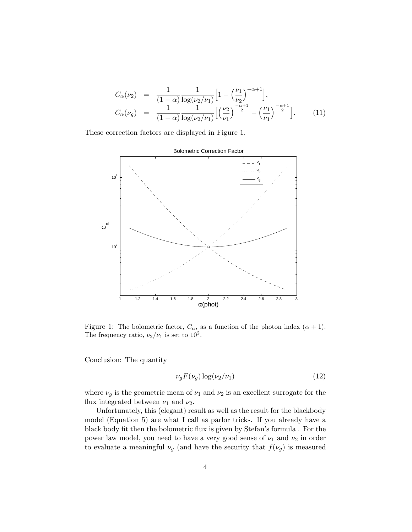$$
C_{\alpha}(\nu_2) = \frac{1}{(1-\alpha)} \frac{1}{\log(\nu_2/\nu_1)} \Big[ 1 - \Big(\frac{\nu_1}{\nu_2}\Big)^{-\alpha+1} \Big],
$$
  
\n
$$
C_{\alpha}(\nu_2) = \frac{1}{(1-\alpha)} \frac{1}{\log(\nu_2/\nu_1)} \Big[ \Big(\frac{\nu_2}{\nu_1}\Big)^{-\frac{\alpha+1}{2}} - \Big(\frac{\nu_1}{\nu_1}\Big)^{-\frac{\alpha+1}{2}} \Big].
$$
 (11)

These correction factors are displayed in Figure 1.



Figure 1: The bolometric factor,  $C_{\alpha}$ , as a function of the photon index  $(\alpha + 1)$ . The frequency ratio,  $\nu_2/\nu_1$  is set to  $10^2$ .

Conclusion: The quantity

$$
\nu_g F(\nu_g) \log(\nu_2/\nu_1) \tag{12}
$$

where  $\nu_g$  is the geometric mean of  $\nu_1$  and  $\nu_2$  is an excellent surrogate for the flux integrated between  $\nu_1$  and  $\nu_2$ .

Unfortunately, this (elegant) result as well as the result for the blackbody model (Equation 5) are what I call as parlor tricks. If you already have a black body fit then the bolometric flux is given by Stefan's formula . For the power law model, you need to have a very good sense of  $\nu_1$  and  $\nu_2$  in order to evaluate a meaningful  $\nu_g$  (and have the security that  $f(\nu_g)$  is measured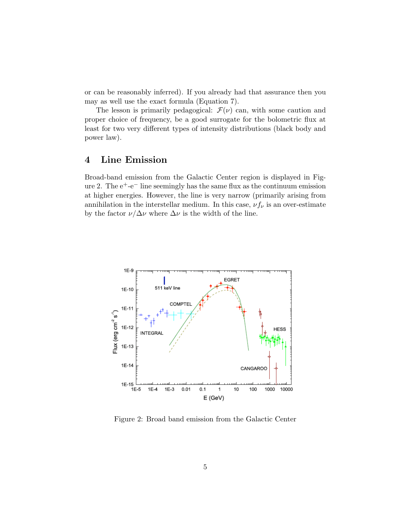or can be reasonably inferred). If you already had that assurance then you may as well use the exact formula (Equation 7).

The lesson is primarily pedagogical:  $\mathcal{F}(\nu)$  can, with some caution and proper choice of frequency, be a good surrogate for the bolometric flux at least for two very different types of intensity distributions (black body and power law).

## 4 Line Emission

Broad-band emission from the Galactic Center region is displayed in Figure 2. The  $e^+$ - $e^-$  line seemingly has the same flux as the continuum emission at higher energies. However, the line is very narrow (primarily arising from annihilation in the interstellar medium. In this case,  $\nu f_{\nu}$  is an over-estimate by the factor  $\nu/\Delta \nu$  where  $\Delta \nu$  is the width of the line.



Figure 2: Broad band emission from the Galactic Center